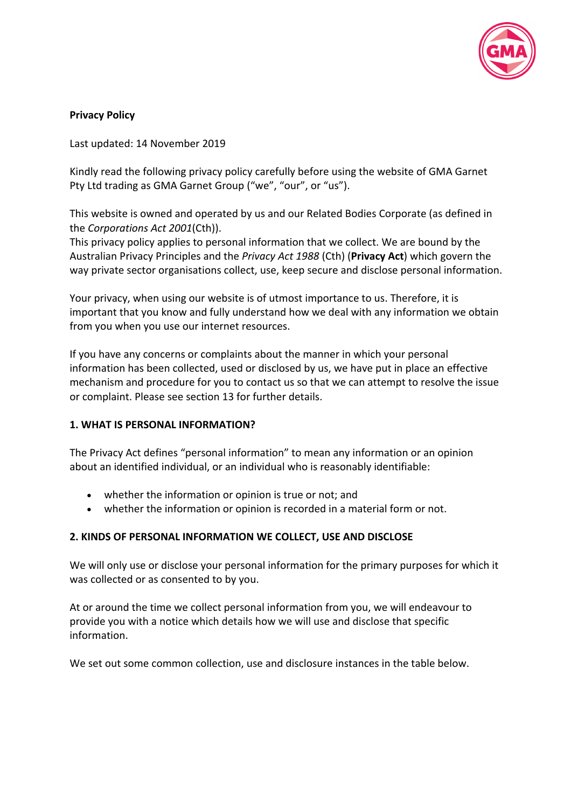

#### **Privacy Policy**

Last updated: 14 November 2019

Kindly read the following privacy policy carefully before using the website of GMA Garnet Pty Ltd trading as GMA Garnet Group ("we", "our", or "us").

This website is owned and operated by us and our Related Bodies Corporate (as defined in the *Corporations Act 2001*(Cth)).

This privacy policy applies to personal information that we collect. We are bound by the Australian Privacy Principles and the *Privacy Act 1988* (Cth) (**Privacy Act**) which govern the way private sector organisations collect, use, keep secure and disclose personal information.

Your privacy, when using our website is of utmost importance to us. Therefore, it is important that you know and fully understand how we deal with any information we obtain from you when you use our internet resources.

If you have any concerns or complaints about the manner in which your personal information has been collected, used or disclosed by us, we have put in place an effective mechanism and procedure for you to contact us so that we can attempt to resolve the issue or complaint. Please see section 13 for further details.

#### **1. WHAT IS PERSONAL INFORMATION?**

The Privacy Act defines "personal information" to mean any information or an opinion about an identified individual, or an individual who is reasonably identifiable:

- whether the information or opinion is true or not; and
- whether the information or opinion is recorded in a material form or not.

### **2. KINDS OF PERSONAL INFORMATION WE COLLECT, USE AND DISCLOSE**

We will only use or disclose your personal information for the primary purposes for which it was collected or as consented to by you.

At or around the time we collect personal information from you, we will endeavour to provide you with a notice which details how we will use and disclose that specific information.

We set out some common collection, use and disclosure instances in the table below.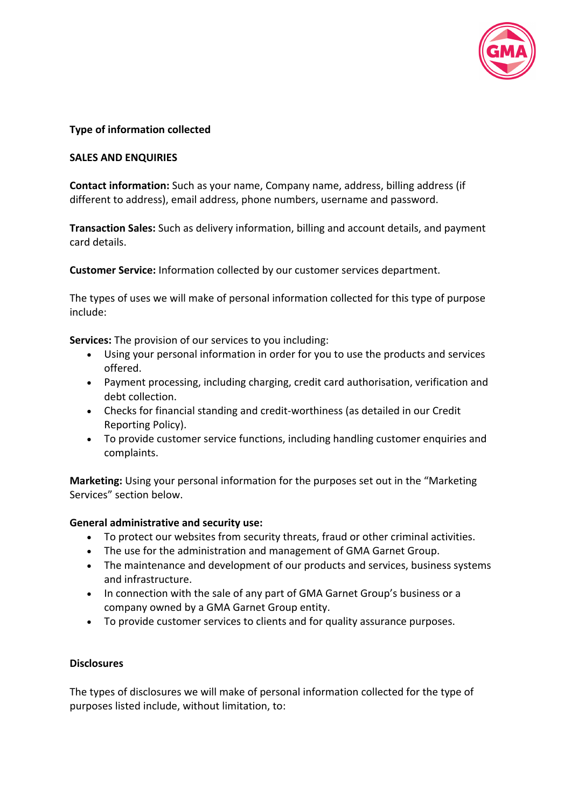

### **Type of information collected**

#### **SALES AND ENQUIRIES**

**Contact information:** Such as your name, Company name, address, billing address (if different to address), email address, phone numbers, username and password.

**Transaction Sales:** Such as delivery information, billing and account details, and payment card details.

**Customer Service:** Information collected by our customer services department.

The types of uses we will make of personal information collected for this type of purpose include:

**Services:** The provision of our services to you including:

- Using your personal information in order for you to use the products and services offered.
- Payment processing, including charging, credit card authorisation, verification and debt collection.
- Checks for financial standing and credit-worthiness (as detailed in our Credit Reporting Policy).
- To provide customer service functions, including handling customer enquiries and complaints.

**Marketing:** Using your personal information for the purposes set out in the "Marketing Services" section below.

#### **General administrative and security use:**

- To protect our websites from security threats, fraud or other criminal activities.
- The use for the administration and management of GMA Garnet Group.
- The maintenance and development of our products and services, business systems and infrastructure.
- In connection with the sale of any part of GMA Garnet Group's business or a company owned by a GMA Garnet Group entity.
- To provide customer services to clients and for quality assurance purposes.

#### **Disclosures**

The types of disclosures we will make of personal information collected for the type of purposes listed include, without limitation, to: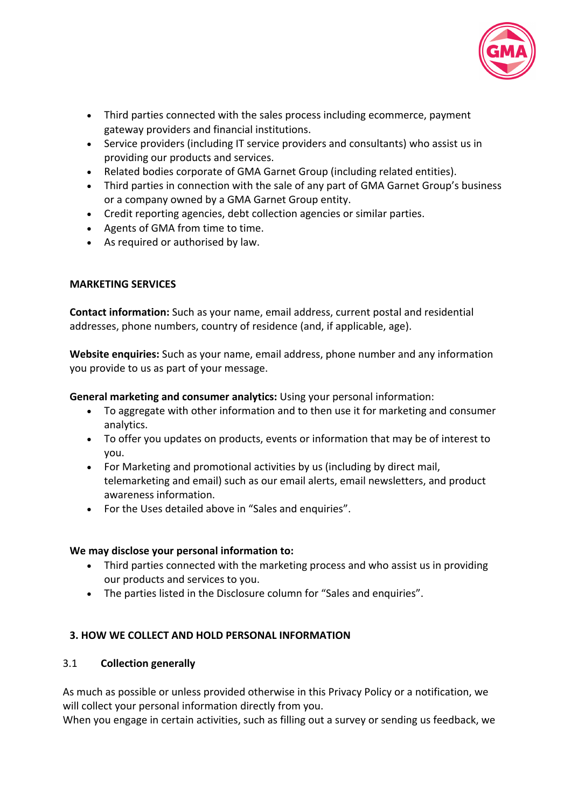

- Third parties connected with the sales process including ecommerce, payment gateway providers and financial institutions.
- Service providers (including IT service providers and consultants) who assist us in providing our products and services.
- Related bodies corporate of GMA Garnet Group (including related entities).
- Third parties in connection with the sale of any part of GMA Garnet Group's business or a company owned by a GMA Garnet Group entity.
- Credit reporting agencies, debt collection agencies or similar parties.
- Agents of GMA from time to time.
- As required or authorised by law.

#### **MARKETING SERVICES**

**Contact information:** Such as your name, email address, current postal and residential addresses, phone numbers, country of residence (and, if applicable, age).

**Website enquiries:** Such as your name, email address, phone number and any information you provide to us as part of your message.

**General marketing and consumer analytics:** Using your personal information:

- To aggregate with other information and to then use it for marketing and consumer analytics.
- To offer you updates on products, events or information that may be of interest to you.
- For Marketing and promotional activities by us (including by direct mail, telemarketing and email) such as our email alerts, email newsletters, and product awareness information.
- For the Uses detailed above in "Sales and enquiries".

#### **We may disclose your personal information to:**

- Third parties connected with the marketing process and who assist us in providing our products and services to you.
- The parties listed in the Disclosure column for "Sales and enquiries".

### **3. HOW WE COLLECT AND HOLD PERSONAL INFORMATION**

### 3.1 **Collection generally**

As much as possible or unless provided otherwise in this Privacy Policy or a notification, we will collect your personal information directly from you.

When you engage in certain activities, such as filling out a survey or sending us feedback, we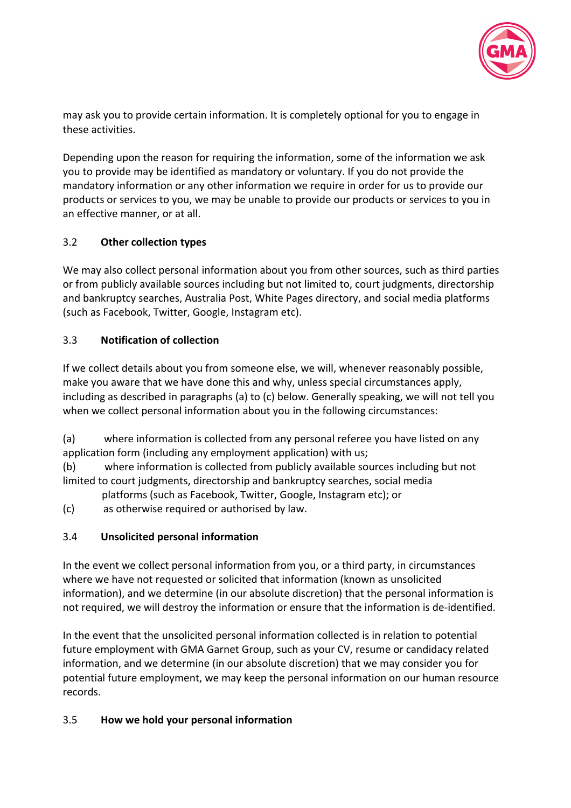

may ask you to provide certain information. It is completely optional for you to engage in these activities.

Depending upon the reason for requiring the information, some of the information we ask you to provide may be identified as mandatory or voluntary. If you do not provide the mandatory information or any other information we require in order for us to provide our products or services to you, we may be unable to provide our products or services to you in an effective manner, or at all.

# 3.2 **Other collection types**

We may also collect personal information about you from other sources, such as third parties or from publicly available sources including but not limited to, court judgments, directorship and bankruptcy searches, Australia Post, White Pages directory, and social media platforms (such as Facebook, Twitter, Google, Instagram etc).

# 3.3 **Notification of collection**

If we collect details about you from someone else, we will, whenever reasonably possible, make you aware that we have done this and why, unless special circumstances apply, including as described in paragraphs (a) to (c) below. Generally speaking, we will not tell you when we collect personal information about you in the following circumstances:

(a) where information is collected from any personal referee you have listed on any application form (including any employment application) with us;

(b) where information is collected from publicly available sources including but not limited to court judgments, directorship and bankruptcy searches, social media

platforms (such as Facebook, Twitter, Google, Instagram etc); or

(c) as otherwise required or authorised by law.

# 3.4 **Unsolicited personal information**

In the event we collect personal information from you, or a third party, in circumstances where we have not requested or solicited that information (known as unsolicited information), and we determine (in our absolute discretion) that the personal information is not required, we will destroy the information or ensure that the information is de-identified.

In the event that the unsolicited personal information collected is in relation to potential future employment with GMA Garnet Group, such as your CV, resume or candidacy related information, and we determine (in our absolute discretion) that we may consider you for potential future employment, we may keep the personal information on our human resource records.

# 3.5 **How we hold your personal information**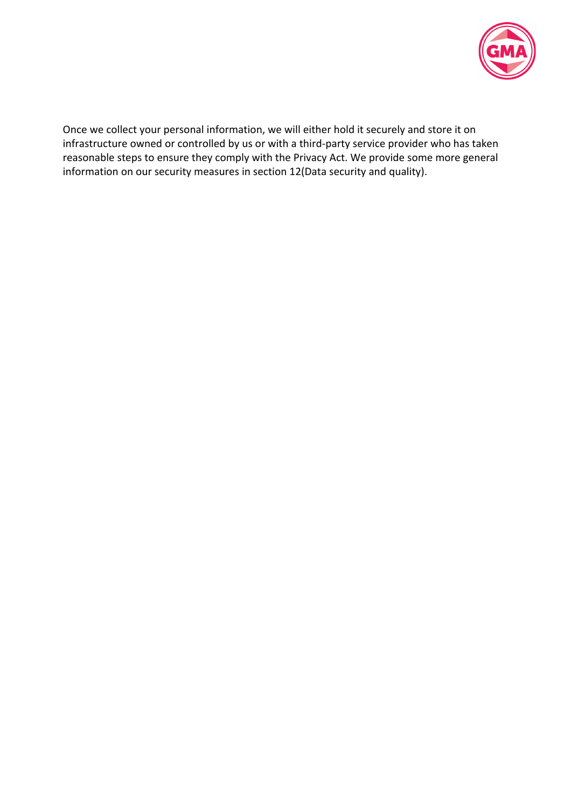

Once we collect your personal information, we will either hold it securely and store it on infrastructure owned or controlled by us or with a third-party service provider who has taken reasonable steps to ensure they comply with the Privacy Act. We provide some more general information on our security measures in section 12(Data security and quality).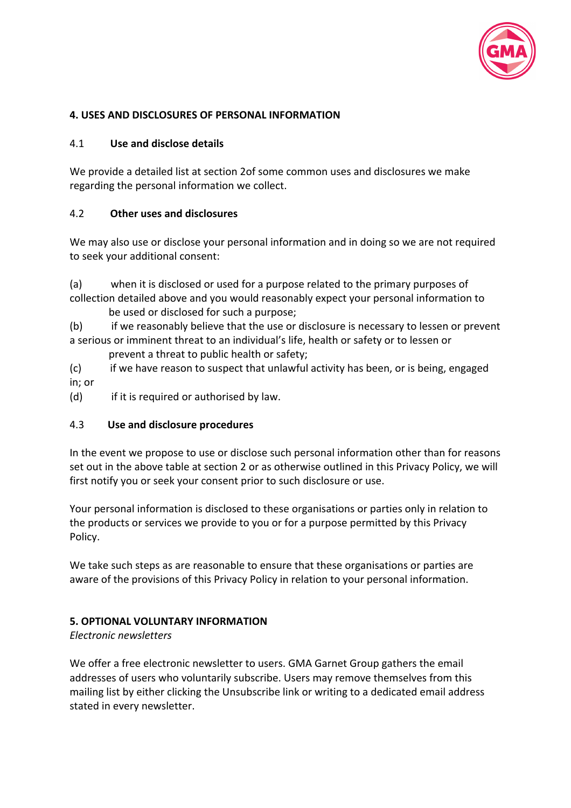

### **4. USES AND DISCLOSURES OF PERSONAL INFORMATION**

#### 4.1 **Use and disclose details**

We provide a detailed list at section 2of some common uses and disclosures we make regarding the personal information we collect.

#### 4.2 **Other uses and disclosures**

We may also use or disclose your personal information and in doing so we are not required to seek your additional consent:

- (a) when it is disclosed or used for a purpose related to the primary purposes of collection detailed above and you would reasonably expect your personal information to
- be used or disclosed for such a purpose; (b) if we reasonably believe that the use or disclosure is necessary to lessen or prevent
- a serious or imminent threat to an individual's life, health or safety or to lessen or prevent a threat to public health or safety;
- (c) if we have reason to suspect that unlawful activity has been, or is being, engaged in; or
- (d) if it is required or authorised by law.

### 4.3 **Use and disclosure procedures**

In the event we propose to use or disclose such personal information other than for reasons set out in the above table at section 2 or as otherwise outlined in this Privacy Policy, we will first notify you or seek your consent prior to such disclosure or use.

Your personal information is disclosed to these organisations or parties only in relation to the products or services we provide to you or for a purpose permitted by this Privacy Policy.

We take such steps as are reasonable to ensure that these organisations or parties are aware of the provisions of this Privacy Policy in relation to your personal information.

### **5. OPTIONAL VOLUNTARY INFORMATION**

#### *Electronic newsletters*

We offer a free electronic newsletter to users. GMA Garnet Group gathers the email addresses of users who voluntarily subscribe. Users may remove themselves from this mailing list by either clicking the Unsubscribe link or writing to a dedicated email address stated in every newsletter.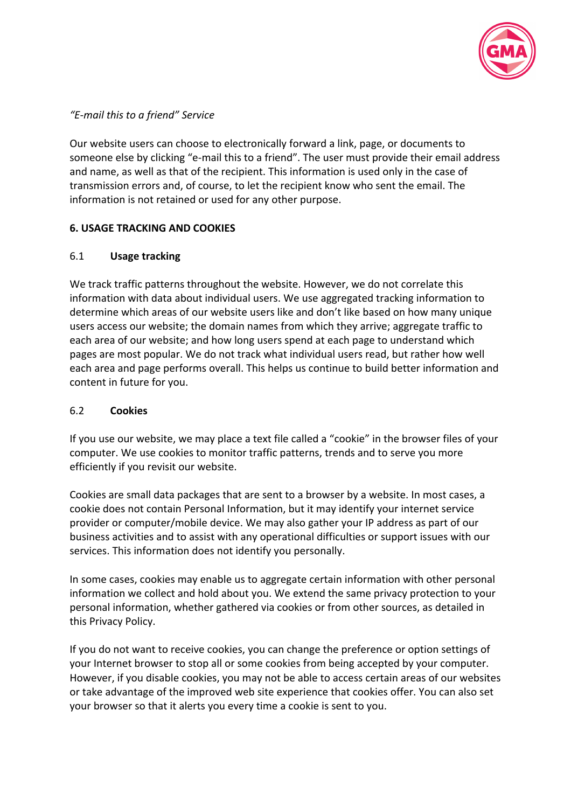

### *"E-mail this to a friend" Service*

Our website users can choose to electronically forward a link, page, or documents to someone else by clicking "e-mail this to a friend". The user must provide their email address and name, as well as that of the recipient. This information is used only in the case of transmission errors and, of course, to let the recipient know who sent the email. The information is not retained or used for any other purpose.

### **6. USAGE TRACKING AND COOKIES**

## 6.1 **Usage tracking**

We track traffic patterns throughout the website. However, we do not correlate this information with data about individual users. We use aggregated tracking information to determine which areas of our website users like and don't like based on how many unique users access our website; the domain names from which they arrive; aggregate traffic to each area of our website; and how long users spend at each page to understand which pages are most popular. We do not track what individual users read, but rather how well each area and page performs overall. This helps us continue to build better information and content in future for you.

### 6.2 **Cookies**

If you use our website, we may place a text file called a "cookie" in the browser files of your computer. We use cookies to monitor traffic patterns, trends and to serve you more efficiently if you revisit our website.

Cookies are small data packages that are sent to a browser by a website. In most cases, a cookie does not contain Personal Information, but it may identify your internet service provider or computer/mobile device. We may also gather your IP address as part of our business activities and to assist with any operational difficulties or support issues with our services. This information does not identify you personally.

In some cases, cookies may enable us to aggregate certain information with other personal information we collect and hold about you. We extend the same privacy protection to your personal information, whether gathered via cookies or from other sources, as detailed in this Privacy Policy.

If you do not want to receive cookies, you can change the preference or option settings of your Internet browser to stop all or some cookies from being accepted by your computer. However, if you disable cookies, you may not be able to access certain areas of our websites or take advantage of the improved web site experience that cookies offer. You can also set your browser so that it alerts you every time a cookie is sent to you.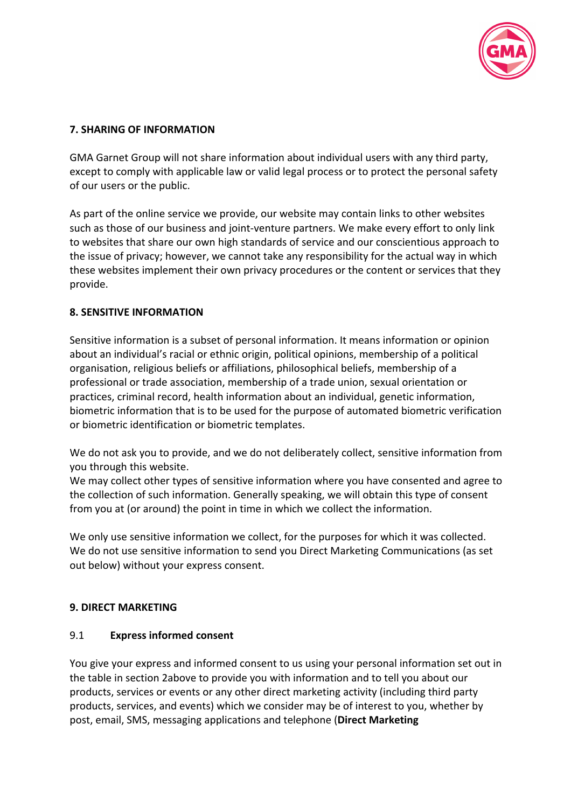

### **7. SHARING OF INFORMATION**

GMA Garnet Group will not share information about individual users with any third party, except to comply with applicable law or valid legal process or to protect the personal safety of our users or the public.

As part of the online service we provide, our website may contain links to other websites such as those of our business and joint-venture partners. We make every effort to only link to websites that share our own high standards of service and our conscientious approach to the issue of privacy; however, we cannot take any responsibility for the actual way in which these websites implement their own privacy procedures or the content or services that they provide.

### **8. SENSITIVE INFORMATION**

Sensitive information is a subset of personal information. It means information or opinion about an individual's racial or ethnic origin, political opinions, membership of a political organisation, religious beliefs or affiliations, philosophical beliefs, membership of a professional or trade association, membership of a trade union, sexual orientation or practices, criminal record, health information about an individual, genetic information, biometric information that is to be used for the purpose of automated biometric verification or biometric identification or biometric templates.

We do not ask you to provide, and we do not deliberately collect, sensitive information from you through this website.

We may collect other types of sensitive information where you have consented and agree to the collection of such information. Generally speaking, we will obtain this type of consent from you at (or around) the point in time in which we collect the information.

We only use sensitive information we collect, for the purposes for which it was collected. We do not use sensitive information to send you Direct Marketing Communications (as set out below) without your express consent.

### **9. DIRECT MARKETING**

### 9.1 **Express informed consent**

You give your express and informed consent to us using your personal information set out in the table in section 2above to provide you with information and to tell you about our products, services or events or any other direct marketing activity (including third party products, services, and events) which we consider may be of interest to you, whether by post, email, SMS, messaging applications and telephone (**Direct Marketing**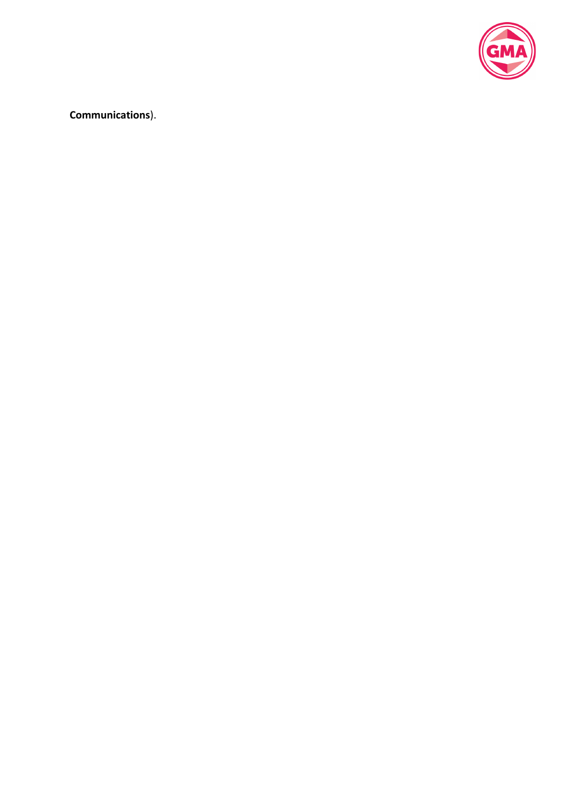

**Communications**).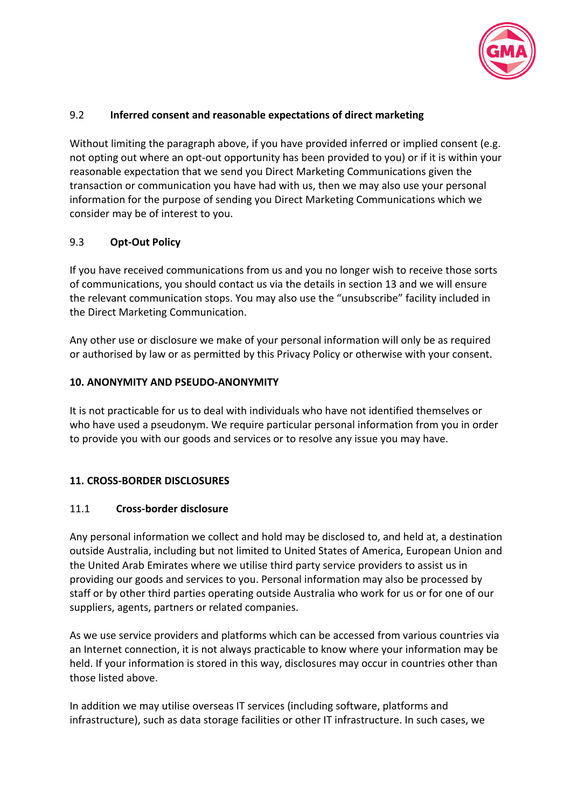

## 9.2 **Inferred consent and reasonable expectations of direct marketing**

Without limiting the paragraph above, if you have provided inferred or implied consent (e.g. not opting out where an opt-out opportunity has been provided to you) or if it is within your reasonable expectation that we send you Direct Marketing Communications given the transaction or communication you have had with us, then we may also use your personal information for the purpose of sending you Direct Marketing Communications which we consider may be of interest to you.

### 9.3 **Opt-Out Policy**

If you have received communications from us and you no longer wish to receive those sorts of communications, you should contact us via the details in section 13 and we will ensure the relevant communication stops. You may also use the "unsubscribe" facility included in the Direct Marketing Communication.

Any other use or disclosure we make of your personal information will only be as required or authorised by law or as permitted by this Privacy Policy or otherwise with your consent.

### **10. ANONYMITY AND PSEUDO-ANONYMITY**

It is not practicable for us to deal with individuals who have not identified themselves or who have used a pseudonym. We require particular personal information from you in order to provide you with our goods and services or to resolve any issue you may have.

### **11. CROSS-BORDER DISCLOSURES**

### 11.1 **Cross-border disclosure**

Any personal information we collect and hold may be disclosed to, and held at, a destination outside Australia, including but not limited to United States of America, European Union and the United Arab Emirates where we utilise third party service providers to assist us in providing our goods and services to you. Personal information may also be processed by staff or by other third parties operating outside Australia who work for us or for one of our suppliers, agents, partners or related companies.

As we use service providers and platforms which can be accessed from various countries via an Internet connection, it is not always practicable to know where your information may be held. If your information is stored in this way, disclosures may occur in countries other than those listed above.

In addition we may utilise overseas IT services (including software, platforms and infrastructure), such as data storage facilities or other IT infrastructure. In such cases, we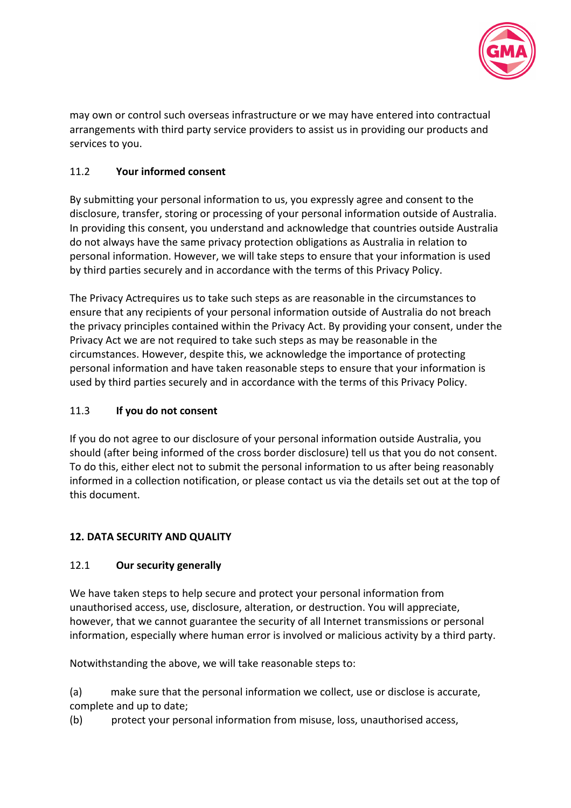

may own or control such overseas infrastructure or we may have entered into contractual arrangements with third party service providers to assist us in providing our products and services to you.

# 11.2 **Your informed consent**

By submitting your personal information to us, you expressly agree and consent to the disclosure, transfer, storing or processing of your personal information outside of Australia. In providing this consent, you understand and acknowledge that countries outside Australia do not always have the same privacy protection obligations as Australia in relation to personal information. However, we will take steps to ensure that your information is used by third parties securely and in accordance with the terms of this Privacy Policy.

The Privacy Actrequires us to take such steps as are reasonable in the circumstances to ensure that any recipients of your personal information outside of Australia do not breach the privacy principles contained within the Privacy Act. By providing your consent, under the Privacy Act we are not required to take such steps as may be reasonable in the circumstances. However, despite this, we acknowledge the importance of protecting personal information and have taken reasonable steps to ensure that your information is used by third parties securely and in accordance with the terms of this Privacy Policy.

# 11.3 **If you do not consent**

If you do not agree to our disclosure of your personal information outside Australia, you should (after being informed of the cross border disclosure) tell us that you do not consent. To do this, either elect not to submit the personal information to us after being reasonably informed in a collection notification, or please contact us via the details set out at the top of this document.

# **12. DATA SECURITY AND QUALITY**

# 12.1 **Our security generally**

We have taken steps to help secure and protect your personal information from unauthorised access, use, disclosure, alteration, or destruction. You will appreciate, however, that we cannot guarantee the security of all Internet transmissions or personal information, especially where human error is involved or malicious activity by a third party.

Notwithstanding the above, we will take reasonable steps to:

(a) make sure that the personal information we collect, use or disclose is accurate, complete and up to date;

(b) protect your personal information from misuse, loss, unauthorised access,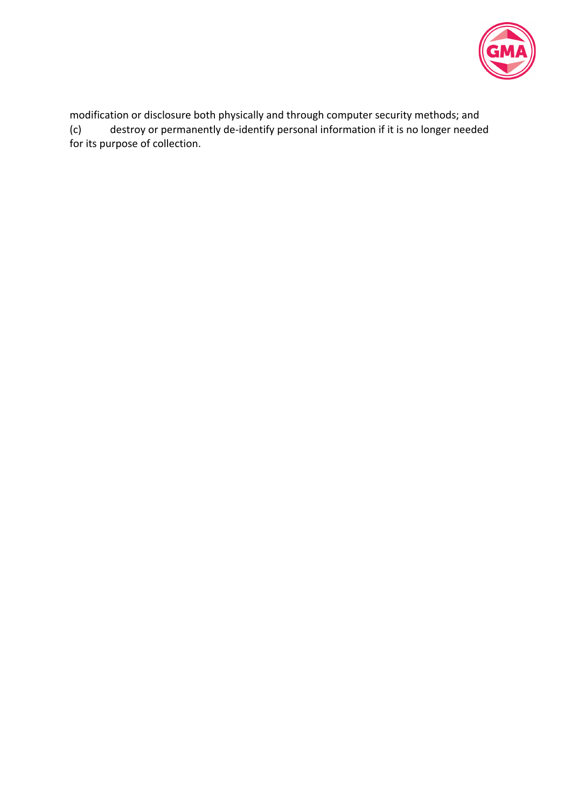

modification or disclosure both physically and through computer security methods; and (c) destroy or permanently de-identify personal information if it is no longer needed for its purpose of collection.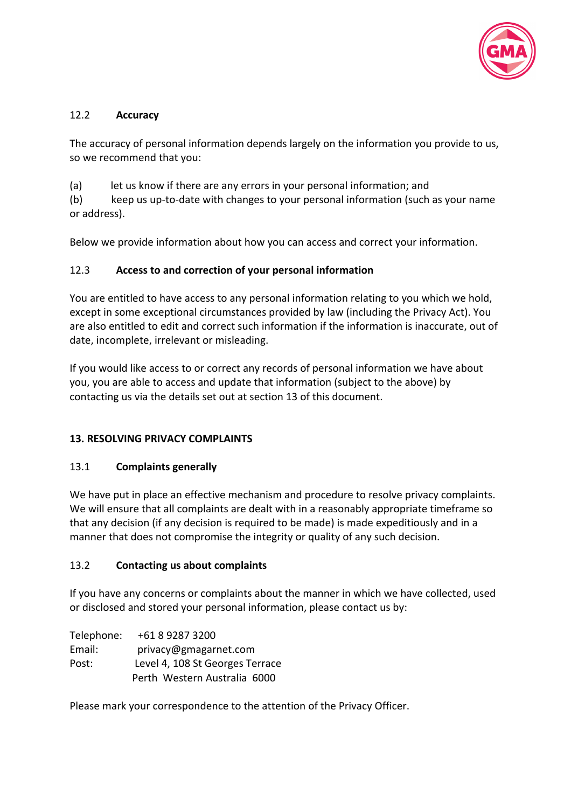

## 12.2 **Accuracy**

The accuracy of personal information depends largely on the information you provide to us, so we recommend that you:

(a) let us know if there are any errors in your personal information; and

(b) keep us up-to-date with changes to your personal information (such as your name or address).

Below we provide information about how you can access and correct your information.

## 12.3 **Access to and correction of your personal information**

You are entitled to have access to any personal information relating to you which we hold, except in some exceptional circumstances provided by law (including the Privacy Act). You are also entitled to edit and correct such information if the information is inaccurate, out of date, incomplete, irrelevant or misleading.

If you would like access to or correct any records of personal information we have about you, you are able to access and update that information (subject to the above) by contacting us via the details set out at section 13 of this document.

### **13. RESOLVING PRIVACY COMPLAINTS**

### 13.1 **Complaints generally**

We have put in place an effective mechanism and procedure to resolve privacy complaints. We will ensure that all complaints are dealt with in a reasonably appropriate timeframe so that any decision (if any decision is required to be made) is made expeditiously and in a manner that does not compromise the integrity or quality of any such decision.

### 13.2 **Contacting us about complaints**

If you have any concerns or complaints about the manner in which we have collected, used or disclosed and stored your personal information, please contact us by:

| Telephone: | +61 8 9287 3200                 |
|------------|---------------------------------|
| Email:     | privacy@gmagarnet.com           |
| Post:      | Level 4, 108 St Georges Terrace |
|            | Perth Western Australia 6000    |

Please mark your correspondence to the attention of the Privacy Officer.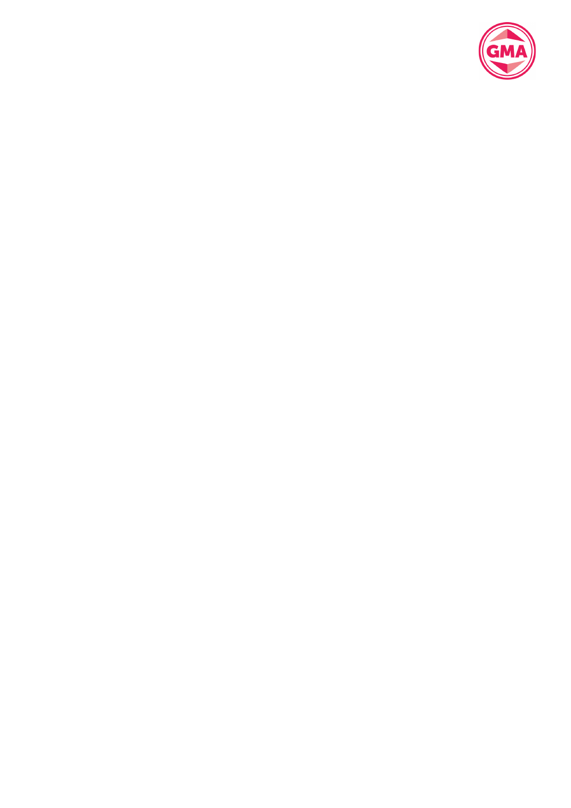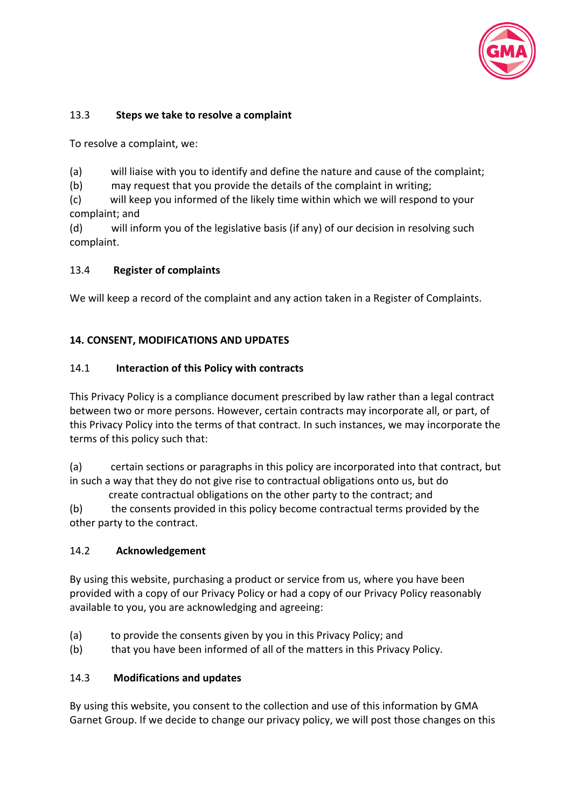

## 13.3 **Steps we take to resolve a complaint**

To resolve a complaint, we:

(a) will liaise with you to identify and define the nature and cause of the complaint;

(b) may request that you provide the details of the complaint in writing;

(c) will keep you informed of the likely time within which we will respond to your complaint; and

(d) will inform you of the legislative basis (if any) of our decision in resolving such complaint.

## 13.4 **Register of complaints**

We will keep a record of the complaint and any action taken in a Register of Complaints.

# **14. CONSENT, MODIFICATIONS AND UPDATES**

## 14.1 **Interaction of this Policy with contracts**

This Privacy Policy is a compliance document prescribed by law rather than a legal contract between two or more persons. However, certain contracts may incorporate all, or part, of this Privacy Policy into the terms of that contract. In such instances, we may incorporate the terms of this policy such that:

(a) certain sections or paragraphs in this policy are incorporated into that contract, but in such a way that they do not give rise to contractual obligations onto us, but do

create contractual obligations on the other party to the contract; and

(b) the consents provided in this policy become contractual terms provided by the other party to the contract.

### 14.2 **Acknowledgement**

By using this website, purchasing a product or service from us, where you have been provided with a copy of our Privacy Policy or had a copy of our Privacy Policy reasonably available to you, you are acknowledging and agreeing:

- (a) to provide the consents given by you in this Privacy Policy; and
- (b) that you have been informed of all of the matters in this Privacy Policy.

### 14.3 **Modifications and updates**

By using this website, you consent to the collection and use of this information by GMA Garnet Group. If we decide to change our privacy policy, we will post those changes on this